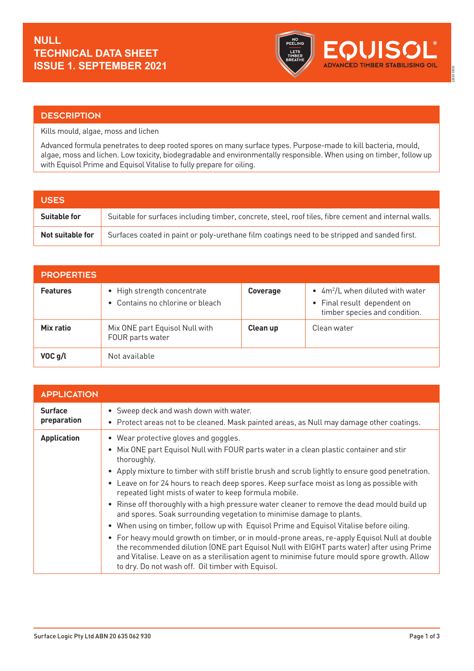

## **DESCRIPTION**

Kills mould, algae, moss and lichen

Advanced formula penetrates to deep rooted spores on many surface types. Purpose-made to kill bacteria, mould, algae, moss and lichen. Low toxicity, biodegradable and environmentally responsible. When using on timber, follow up with Equisol Prime and Equisol Vitalise to fully prepare for oiling.

| <b>USES</b>         |                                                                                                       |
|---------------------|-------------------------------------------------------------------------------------------------------|
| <b>Suitable for</b> | Suitable for surfaces including timber, concrete, steel, roof tiles, fibre cement and internal walls. |
| Not suitable for    | Surfaces coated in paint or poly-urethane film coatings need to be stripped and sanded first.         |

| <b>PROPERTIES</b>   |                                                                 |                 |                                                                                                    |
|---------------------|-----------------------------------------------------------------|-----------------|----------------------------------------------------------------------------------------------------|
| <b>Features</b>     | • High strength concentrate<br>• Contains no chlorine or bleach | <b>Coverage</b> | • $4m^2/L$ when diluted with water<br>• Final result dependent on<br>timber species and condition. |
| Mix ratio           | Mix ONE part Equisol Null with<br>FOUR parts water              | Clean up        | Clean water                                                                                        |
| VOC <sub>q</sub> /l | Not available                                                   |                 |                                                                                                    |

| <b>APPLICATION</b>            |                                                                                                                                                                                                                                                                                                                                                                                                                                                                                                                                                                                                                                                                                                                                                                                                                                                                                                                                                                                                                                 |
|-------------------------------|---------------------------------------------------------------------------------------------------------------------------------------------------------------------------------------------------------------------------------------------------------------------------------------------------------------------------------------------------------------------------------------------------------------------------------------------------------------------------------------------------------------------------------------------------------------------------------------------------------------------------------------------------------------------------------------------------------------------------------------------------------------------------------------------------------------------------------------------------------------------------------------------------------------------------------------------------------------------------------------------------------------------------------|
| <b>Surface</b><br>preparation | • Sweep deck and wash down with water.<br>• Protect areas not to be cleaned. Mask painted areas, as Null may damage other coatings.                                                                                                                                                                                                                                                                                                                                                                                                                                                                                                                                                                                                                                                                                                                                                                                                                                                                                             |
| <b>Application</b>            | • Wear protective gloves and goggles.<br>• Mix ONE part Equisol Null with FOUR parts water in a clean plastic container and stir<br>thoroughly.<br>• Apply mixture to timber with stiff bristle brush and scrub lightly to ensure good penetration.<br>• Leave on for 24 hours to reach deep spores. Keep surface moist as long as possible with<br>repeated light mists of water to keep formula mobile.<br>• Rinse off thoroughly with a high pressure water cleaner to remove the dead mould build up<br>and spores. Soak surrounding vegetation to minimise damage to plants.<br>• When using on timber, follow up with Equisol Prime and Equisol Vitalise before oiling.<br>• For heavy mould growth on timber, or in mould-prone areas, re-apply Equisol Null at double<br>the recommended dilution (ONE part Equisol Null with EIGHT parts water) after using Prime<br>and Vitalise. Leave on as a sterilisation agent to minimise future mould spore growth. Allow<br>to dry. Do not wash off. Oil timber with Equisol. |

22920 09/21

2920 09/21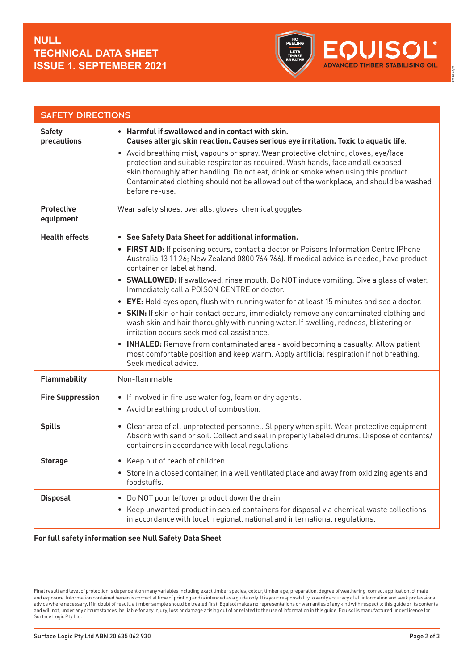

22920 09/21

2920 09/21

| <b>SAFETY DIRECTIONS</b>       |                                                                                                                                                                                                                                                                                                                                                                                                                                                                                                                                                                                                                                                                                                                                                                                                                                                                                                                                                                                         |
|--------------------------------|-----------------------------------------------------------------------------------------------------------------------------------------------------------------------------------------------------------------------------------------------------------------------------------------------------------------------------------------------------------------------------------------------------------------------------------------------------------------------------------------------------------------------------------------------------------------------------------------------------------------------------------------------------------------------------------------------------------------------------------------------------------------------------------------------------------------------------------------------------------------------------------------------------------------------------------------------------------------------------------------|
| <b>Safety</b><br>precautions   | • Harmful if swallowed and in contact with skin.<br>Causes allergic skin reaction. Causes serious eye irritation. Toxic to aquatic life.<br>• Avoid breathing mist, vapours or spray. Wear protective clothing, gloves, eye/face<br>protection and suitable respirator as required. Wash hands, face and all exposed<br>skin thoroughly after handling. Do not eat, drink or smoke when using this product.<br>Contaminated clothing should not be allowed out of the workplace, and should be washed<br>before re-use.                                                                                                                                                                                                                                                                                                                                                                                                                                                                 |
| <b>Protective</b><br>equipment | Wear safety shoes, overalls, gloves, chemical goggles                                                                                                                                                                                                                                                                                                                                                                                                                                                                                                                                                                                                                                                                                                                                                                                                                                                                                                                                   |
| <b>Health effects</b>          | See Safety Data Sheet for additional information.<br>$\bullet$<br>FIRST AID: If poisoning occurs, contact a doctor or Poisons Information Centre (Phone<br>Australia 13 11 26; New Zealand 0800 764 766). If medical advice is needed, have product<br>container or label at hand.<br>• SWALLOWED: If swallowed, rinse mouth. Do NOT induce vomiting. Give a glass of water.<br>Immediately call a POISON CENTRE or doctor.<br>• EYE: Hold eyes open, flush with running water for at least 15 minutes and see a doctor.<br>• SKIN: If skin or hair contact occurs, immediately remove any contaminated clothing and<br>wash skin and hair thoroughly with running water. If swelling, redness, blistering or<br>irritation occurs seek medical assistance.<br><b>INHALED:</b> Remove from contaminated area - avoid becoming a casualty. Allow patient<br>$\bullet$<br>most comfortable position and keep warm. Apply artificial respiration if not breathing.<br>Seek medical advice. |
| <b>Flammability</b>            | Non-flammable                                                                                                                                                                                                                                                                                                                                                                                                                                                                                                                                                                                                                                                                                                                                                                                                                                                                                                                                                                           |
| <b>Fire Suppression</b>        | • If involved in fire use water fog, foam or dry agents.<br>Avoid breathing product of combustion.<br>$\bullet$                                                                                                                                                                                                                                                                                                                                                                                                                                                                                                                                                                                                                                                                                                                                                                                                                                                                         |
| <b>Spills</b>                  | • Clear area of all unprotected personnel. Slippery when spilt. Wear protective equipment.<br>Absorb with sand or soil. Collect and seal in properly labeled drums. Dispose of contents/<br>containers in accordance with local regulations.                                                                                                                                                                                                                                                                                                                                                                                                                                                                                                                                                                                                                                                                                                                                            |
| <b>Storage</b>                 | • Keep out of reach of children.<br>• Store in a closed container, in a well ventilated place and away from oxidizing agents and<br>foodstuffs.                                                                                                                                                                                                                                                                                                                                                                                                                                                                                                                                                                                                                                                                                                                                                                                                                                         |
| <b>Disposal</b>                | Do NOT pour leftover product down the drain.<br>$\bullet$<br>• Keep unwanted product in sealed containers for disposal via chemical waste collections<br>in accordance with local, regional, national and international regulations.                                                                                                                                                                                                                                                                                                                                                                                                                                                                                                                                                                                                                                                                                                                                                    |

## **For full safety information see Null Safety Data Sheet**

Final result and level of protection is dependent on many variables including exact timber species, colour, timber age, preparation, degree of weathering, correct application, climate and exposure. Information contained herein is correct at time of printing and is intended as a guide only. It is your responsibility to verify accuracy of all information and seek professional advice where necessary. If in doubt of result, a timber sample should be treated first. Equisol makes no representations or warranties of any kind with respect to this guide or its contents and will not, under any circumstances, be liable for any injury, loss or damage arising out of or related to the use of information in this guide. Equisol is manufactured under licence for Surface Logic Pty Ltd.